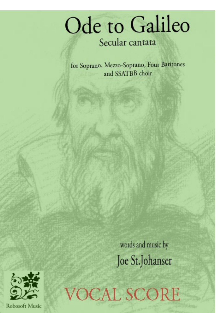## Ode to Galileo

## Secular cantata

for Soprano, Mezzo-Soprano, Four Baritones and SSATBB choir

> words and music by Joe St.Johanser



OCAL SCORE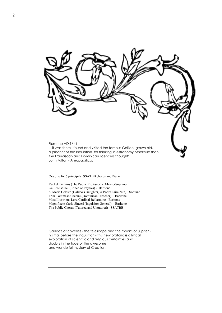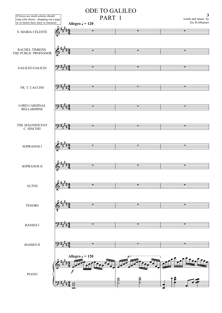| <b>ODE TO GALILEO</b>                                                                                                   |                          |                      |   |                                            |
|-------------------------------------------------------------------------------------------------------------------------|--------------------------|----------------------|---|--------------------------------------------|
| If forces are small soloists should<br>sing with chorus - dropping out a page<br>or so before their entry in character. | Allegro $\sqrt{ } = 120$ | PART 1               |   | 3<br>words and music by<br>Joe St.Johanser |
| S. MARIA CELESTE                                                                                                        |                          |                      |   |                                            |
| RACHEL TIMKINS<br>THE PUBLIC PROFESSOR                                                                                  |                          |                      |   |                                            |
| <b>GALILEO GALILEI</b>                                                                                                  |                          |                      |   |                                            |
| FR. T. CACCINI                                                                                                          |                          |                      |   |                                            |
| LORD CARDINAL<br><b>BELLARMINE</b>                                                                                      |                          |                      |   |                                            |
| THE MAGNIFICENT<br>C. SINCERI                                                                                           |                          |                      |   |                                            |
| <b>SOPRANOS I</b>                                                                                                       |                          |                      |   |                                            |
| <b>SOPRANOS II</b>                                                                                                      |                          |                      |   |                                            |
| <b>ALTOS</b>                                                                                                            |                          |                      |   |                                            |
| <b>TENORS</b>                                                                                                           |                          |                      |   |                                            |
| <b>BASSES I</b>                                                                                                         |                          |                      |   |                                            |
| <b>BASSES II</b>                                                                                                        | Allegro $\sqrt{ } = 120$ |                      |   |                                            |
| <b>PIANO</b>                                                                                                            | $\overline{\bullet}$     | $\frac{1}{\sqrt{2}}$ | € |                                            |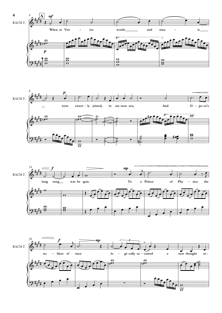





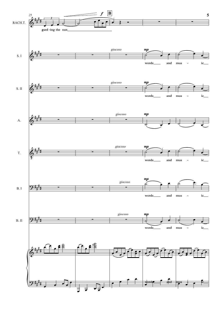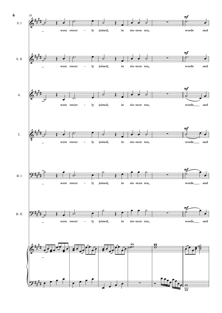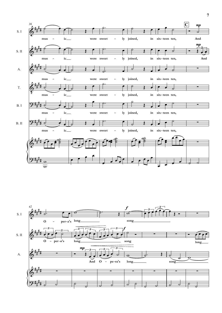

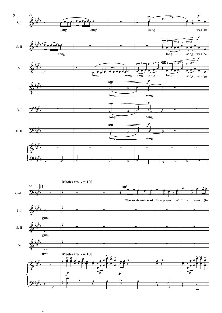

∑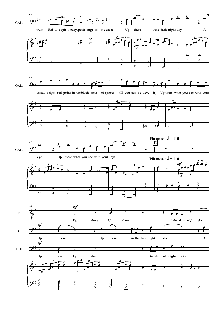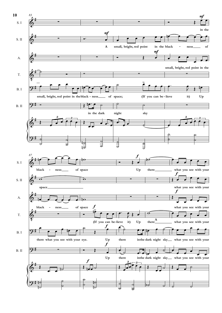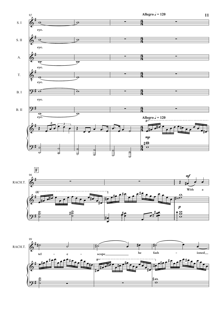



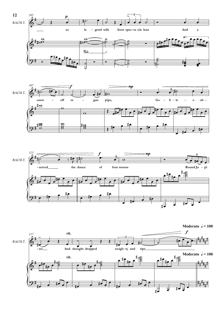





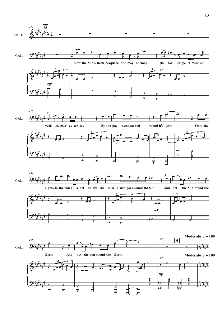





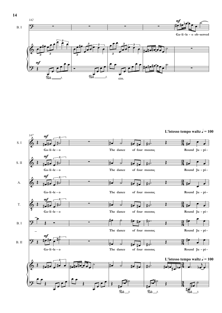

L'istesso tempo waltz  $\sqrt{ } = 100$ 



14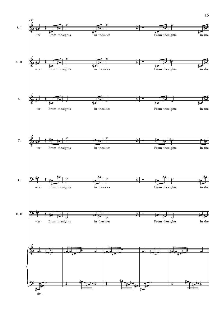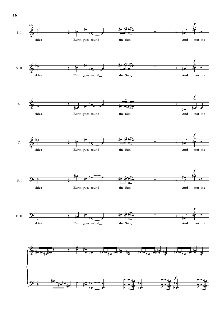

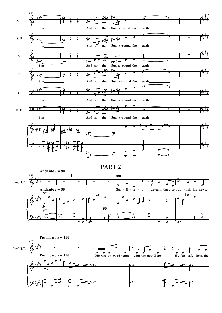![](_page_16_Figure_0.jpeg)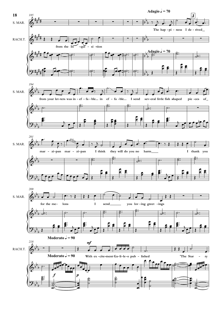![](_page_17_Figure_0.jpeg)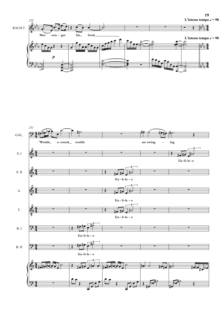![](_page_18_Figure_0.jpeg)

![](_page_18_Figure_1.jpeg)

**19**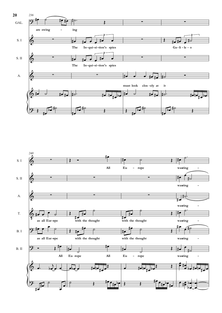![](_page_19_Figure_0.jpeg)

![](_page_19_Figure_1.jpeg)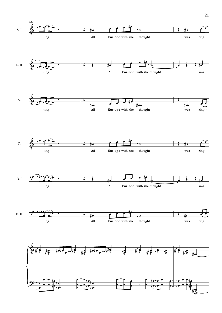![](_page_20_Figure_0.jpeg)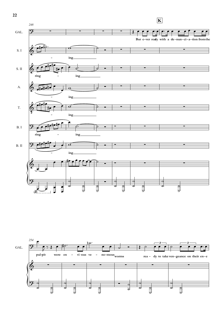![](_page_21_Figure_0.jpeg)

![](_page_21_Figure_1.jpeg)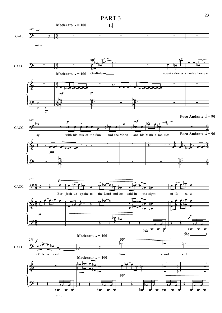![](_page_22_Figure_0.jpeg)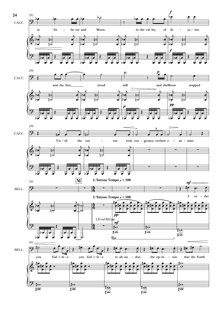![](_page_23_Figure_0.jpeg)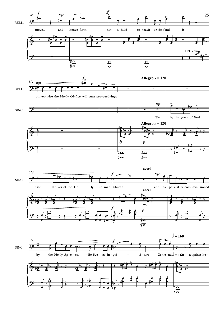![](_page_24_Figure_0.jpeg)

‡⇔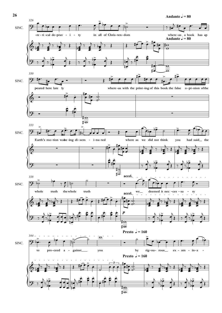![](_page_25_Figure_0.jpeg)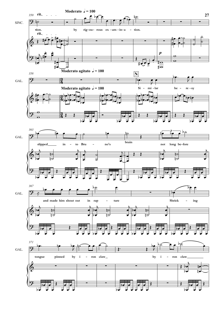![](_page_26_Figure_0.jpeg)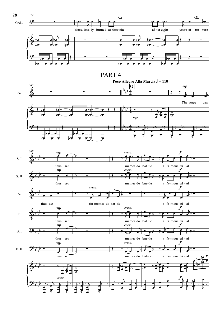![](_page_27_Figure_0.jpeg)

![](_page_27_Figure_1.jpeg)

![](_page_27_Figure_2.jpeg)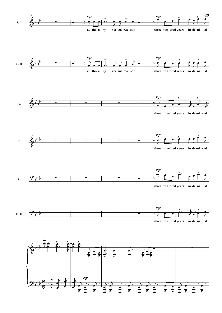![](_page_28_Figure_0.jpeg)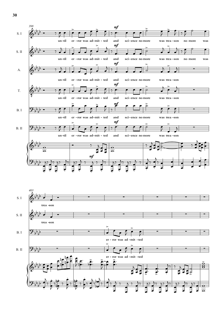![](_page_29_Figure_0.jpeg)

![](_page_29_Figure_1.jpeg)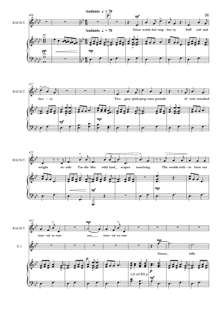![](_page_30_Figure_0.jpeg)

![](_page_30_Figure_1.jpeg)

![](_page_30_Figure_2.jpeg)

![](_page_30_Figure_3.jpeg)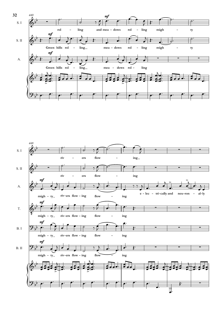![](_page_31_Figure_0.jpeg)

![](_page_31_Figure_1.jpeg)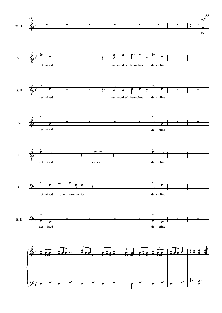![](_page_32_Figure_0.jpeg)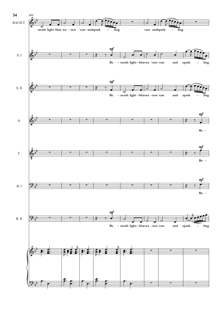![](_page_33_Figure_0.jpeg)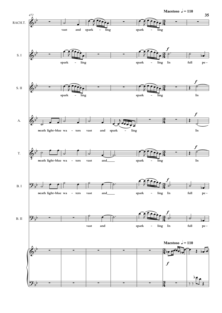![](_page_34_Figure_0.jpeg)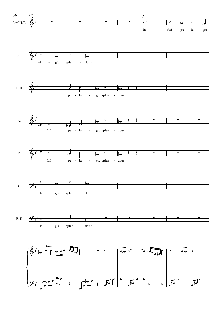![](_page_35_Figure_0.jpeg)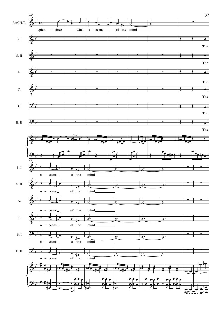![](_page_36_Figure_0.jpeg)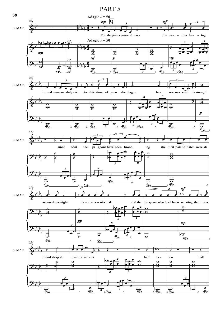![](_page_37_Figure_0.jpeg)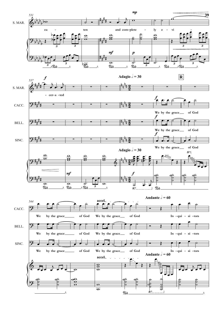![](_page_38_Figure_0.jpeg)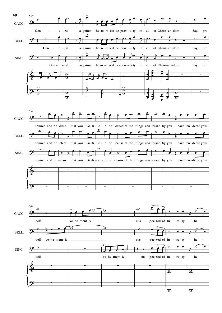![](_page_39_Figure_0.jpeg)

w w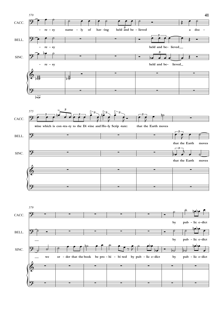![](_page_40_Figure_0.jpeg)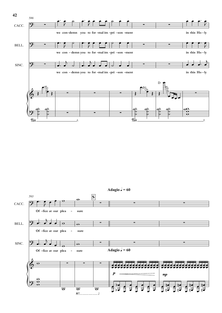![](_page_41_Figure_0.jpeg)

![](_page_41_Figure_1.jpeg)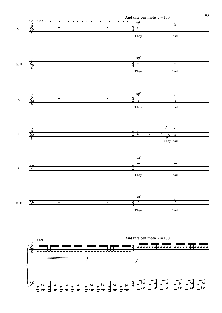![](_page_42_Figure_0.jpeg)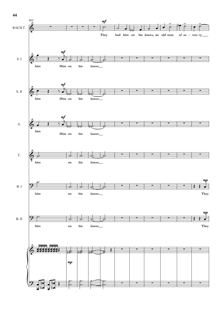![](_page_43_Figure_0.jpeg)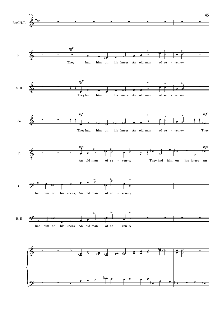![](_page_44_Figure_0.jpeg)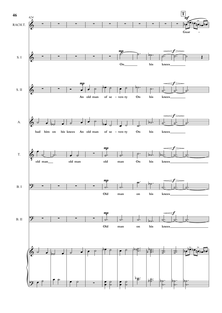![](_page_45_Figure_0.jpeg)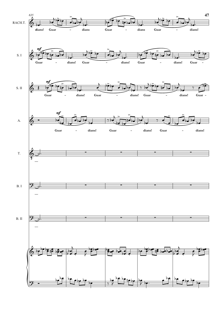![](_page_46_Figure_0.jpeg)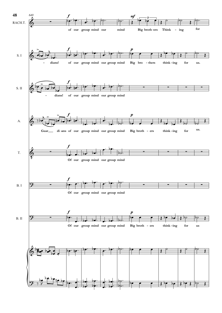![](_page_47_Figure_0.jpeg)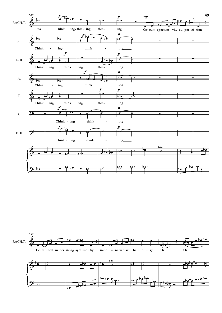![](_page_48_Figure_0.jpeg)

![](_page_48_Figure_1.jpeg)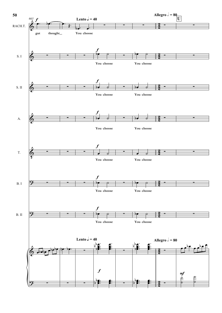![](_page_49_Figure_0.jpeg)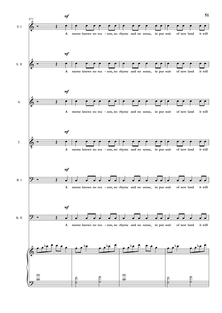![](_page_50_Figure_0.jpeg)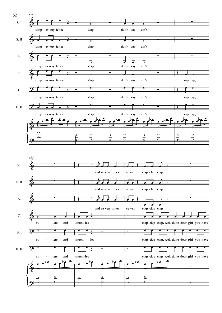![](_page_51_Figure_0.jpeg)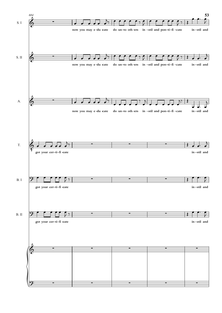![](_page_52_Figure_0.jpeg)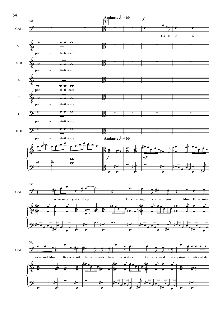![](_page_53_Figure_0.jpeg)

 $\sharp J$ 

 $t -$ 

54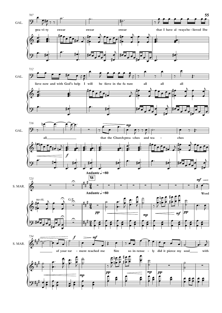![](_page_54_Figure_0.jpeg)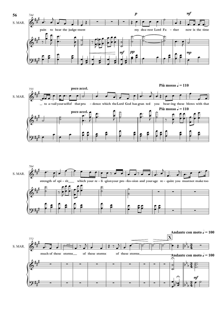![](_page_55_Figure_0.jpeg)

![](_page_55_Figure_1.jpeg)

![](_page_55_Figure_2.jpeg)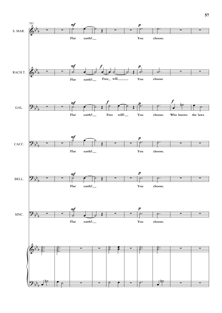![](_page_56_Figure_0.jpeg)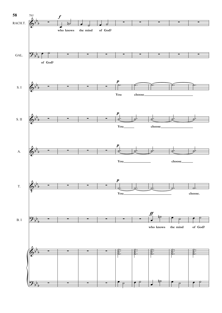![](_page_57_Figure_0.jpeg)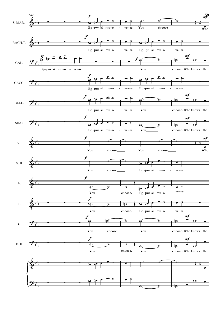![](_page_58_Figure_0.jpeg)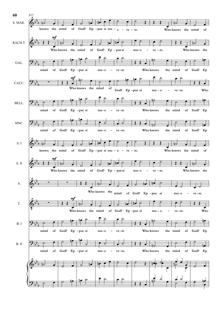![](_page_59_Figure_0.jpeg)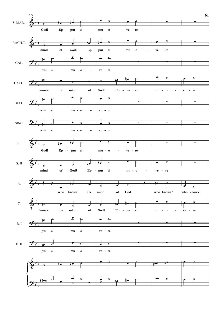![](_page_60_Figure_0.jpeg)